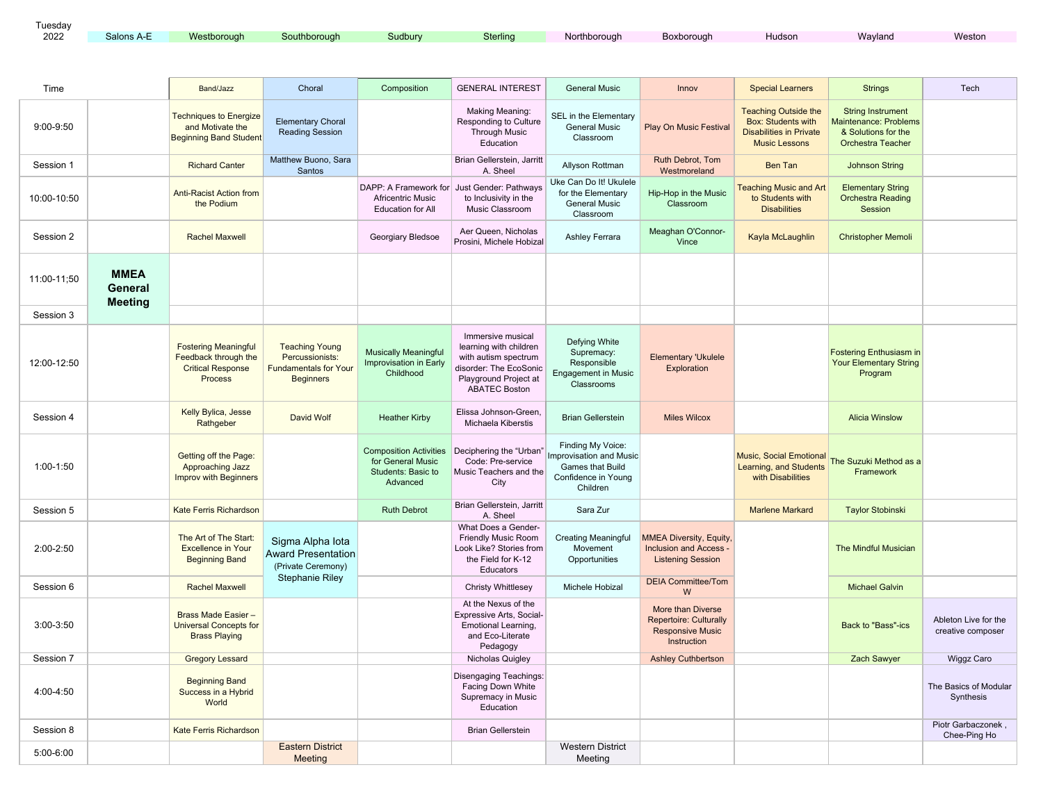| Tuesday |            |             |              |         |          |              |            |        |         |        |
|---------|------------|-------------|--------------|---------|----------|--------------|------------|--------|---------|--------|
| 2022    | Salons A-E | Westborough | Southborough | Sudbury | Sterling | Northborough | Boxborough | Hudson | Wavland | Weston |

| Time        |                                          | Band/Jazz                                                                                         | Choral                                                                                       | Composition                                                                          | <b>GENERAL INTEREST</b>                                                                                                                        | <b>General Music</b>                                                                                       | Innov                                                                                        | <b>Special Learners</b>                                                                                            | <b>Strings</b>                                                                                              | Tech                                      |
|-------------|------------------------------------------|---------------------------------------------------------------------------------------------------|----------------------------------------------------------------------------------------------|--------------------------------------------------------------------------------------|------------------------------------------------------------------------------------------------------------------------------------------------|------------------------------------------------------------------------------------------------------------|----------------------------------------------------------------------------------------------|--------------------------------------------------------------------------------------------------------------------|-------------------------------------------------------------------------------------------------------------|-------------------------------------------|
| 9:00-9:50   |                                          | <b>Techniques to Energize</b><br>and Motivate the<br><b>Beginning Band Student</b>                | <b>Elementary Choral</b><br><b>Reading Session</b>                                           |                                                                                      | <b>Making Meaning:</b><br>Responding to Culture<br><b>Through Music</b><br>Education                                                           | SEL in the Elementary<br><b>General Music</b><br>Classroom                                                 | <b>Play On Music Festival</b>                                                                | <b>Teaching Outside the</b><br><b>Box: Students with</b><br><b>Disabilities in Private</b><br><b>Music Lessons</b> | <b>String Instrument</b><br><b>Maintenance: Problems</b><br>& Solutions for the<br><b>Orchestra Teacher</b> |                                           |
| Session 1   |                                          | <b>Richard Canter</b>                                                                             | Matthew Buono, Sara<br>Santos                                                                |                                                                                      | Brian Gellerstein, Jarritt<br>A. Sheel                                                                                                         | Allyson Rottman                                                                                            | Ruth Debrot, Tom<br>Westmoreland                                                             | <b>Ben Tan</b>                                                                                                     | <b>Johnson String</b>                                                                                       |                                           |
| 10:00-10:50 |                                          | <b>Anti-Racist Action from</b><br>the Podium                                                      |                                                                                              | DAPP: A Framework for<br><b>Africentric Music</b><br><b>Education for All</b>        | Just Gender: Pathways<br>to Inclusivity in the<br>Music Classroom                                                                              | Uke Can Do It! Ukulele<br>for the Elementary<br><b>General Music</b><br>Classroom                          | Hip-Hop in the Music<br>Classroom                                                            | <b>Teaching Music and Art</b><br>to Students with<br><b>Disabilities</b>                                           | <b>Elementary String</b><br><b>Orchestra Reading</b><br>Session                                             |                                           |
| Session 2   |                                          | <b>Rachel Maxwell</b>                                                                             |                                                                                              | Georgiary Bledsoe                                                                    | Aer Queen, Nicholas<br>Prosini, Michele Hobizal                                                                                                | Ashley Ferrara                                                                                             | Meaghan O'Connor-<br>Vince                                                                   | Kayla McLaughlin                                                                                                   | <b>Christopher Memoli</b>                                                                                   |                                           |
| 11:00-11:50 | <b>MMEA</b><br>General<br><b>Meeting</b> |                                                                                                   |                                                                                              |                                                                                      |                                                                                                                                                |                                                                                                            |                                                                                              |                                                                                                                    |                                                                                                             |                                           |
| Session 3   |                                          |                                                                                                   |                                                                                              |                                                                                      |                                                                                                                                                |                                                                                                            |                                                                                              |                                                                                                                    |                                                                                                             |                                           |
| 12:00-12:50 |                                          | <b>Fostering Meaningful</b><br>Feedback through the<br><b>Critical Response</b><br><b>Process</b> | <b>Teaching Young</b><br>Percussionists:<br><b>Fundamentals for Your</b><br><b>Beginners</b> | <b>Musically Meaningful</b><br>Improvisation in Early<br>Childhood                   | Immersive musical<br>learning with children<br>with autism spectrum<br>disorder: The EcoSonic<br>Playground Project at<br><b>ABATEC Boston</b> | Defying White<br>Supremacy:<br>Responsible<br><b>Engagement in Music</b><br>Classrooms                     | <b>Elementary 'Ukulele</b><br>Exploration                                                    |                                                                                                                    | <b>Fostering Enthusiasm in</b><br><b>Your Elementary String</b><br>Program                                  |                                           |
| Session 4   |                                          | Kelly Bylica, Jesse<br>Rathgeber                                                                  | David Wolf                                                                                   | <b>Heather Kirby</b>                                                                 | Elissa Johnson-Green.<br>Michaela Kiberstis                                                                                                    | <b>Brian Gellerstein</b>                                                                                   | <b>Miles Wilcox</b>                                                                          |                                                                                                                    | <b>Alicia Winslow</b>                                                                                       |                                           |
| 1:00-1:50   |                                          | Getting off the Page:<br>Approaching Jazz<br><b>Improv with Beginners</b>                         |                                                                                              | <b>Composition Activities</b><br>for General Music<br>Students: Basic to<br>Advanced | Deciphering the "Urban"<br>Code: Pre-service<br>Music Teachers and the<br>City                                                                 | Finding My Voice:<br>Improvisation and Music<br><b>Games that Build</b><br>Confidence in Young<br>Children |                                                                                              | <b>Music, Social Emotional</b><br>Learning, and Students<br>with Disabilities                                      | The Suzuki Method as a<br>Framework                                                                         |                                           |
| Session 5   |                                          | <b>Kate Ferris Richardson</b>                                                                     |                                                                                              | <b>Ruth Debrot</b>                                                                   | Brian Gellerstein, Jarritt<br>A. Sheel                                                                                                         | Sara Zur                                                                                                   |                                                                                              | <b>Marlene Markard</b>                                                                                             | <b>Taylor Stobinski</b>                                                                                     |                                           |
| 2:00-2:50   |                                          | The Art of The Start:<br><b>Excellence in Your</b><br><b>Beginning Band</b>                       | Sigma Alpha lota<br><b>Award Presentation</b><br>(Private Ceremony)                          |                                                                                      | What Does a Gender-<br>Friendly Music Room<br>Look Like? Stories from<br>the Field for K-12<br>Educators                                       | <b>Creating Meaningful</b><br>Movement<br>Opportunities                                                    | <b>MMEA Diversity, Equity,</b><br><b>Inclusion and Access -</b><br><b>Listening Session</b>  |                                                                                                                    | The Mindful Musician                                                                                        |                                           |
| Session 6   |                                          | <b>Rachel Maxwell</b>                                                                             | <b>Stephanie Riley</b>                                                                       |                                                                                      | <b>Christy Whittlesey</b>                                                                                                                      | Michele Hobizal                                                                                            | <b>DEIA Committee/Tom</b><br>W                                                               |                                                                                                                    | <b>Michael Galvin</b>                                                                                       |                                           |
| 3:00-3:50   |                                          | Brass Made Easier -<br><b>Universal Concepts for</b><br><b>Brass Playing</b>                      |                                                                                              |                                                                                      | At the Nexus of the<br>Expressive Arts, Social-<br><b>Emotional Learning,</b><br>and Eco-Literate<br>Pedagogy                                  |                                                                                                            | More than Diverse<br><b>Repertoire: Culturally</b><br><b>Responsive Music</b><br>Instruction |                                                                                                                    | <b>Back to "Bass"-ics</b>                                                                                   | Ableton Live for the<br>creative composer |
| Session 7   |                                          | <b>Gregory Lessard</b>                                                                            |                                                                                              |                                                                                      | Nicholas Quigley                                                                                                                               |                                                                                                            | <b>Ashley Cuthbertson</b>                                                                    |                                                                                                                    | Zach Sawyer                                                                                                 | <b>Wiggz Caro</b>                         |
| 4:00-4:50   |                                          | <b>Beginning Band</b><br>Success in a Hybrid<br>World                                             |                                                                                              |                                                                                      | <b>Disengaging Teachings:</b><br>Facing Down White<br>Supremacy in Music<br>Education                                                          |                                                                                                            |                                                                                              |                                                                                                                    |                                                                                                             | The Basics of Modular<br>Synthesis        |
| Session 8   |                                          | <b>Kate Ferris Richardson</b>                                                                     |                                                                                              |                                                                                      | <b>Brian Gellerstein</b>                                                                                                                       |                                                                                                            |                                                                                              |                                                                                                                    |                                                                                                             | Piotr Garbaczonek.<br>Chee-Ping Ho        |
| 5:00-6:00   |                                          |                                                                                                   | <b>Eastern District</b><br><b>Meeting</b>                                                    |                                                                                      |                                                                                                                                                | <b>Western District</b><br>Meeting                                                                         |                                                                                              |                                                                                                                    |                                                                                                             |                                           |